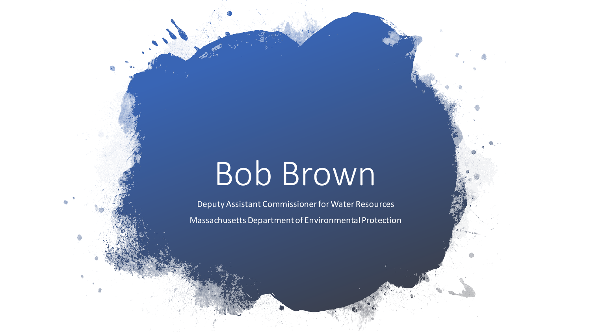## Bob Brown

Deputy Assistant Commissioner for Water Resources Massachusetts Department of Environmental Protection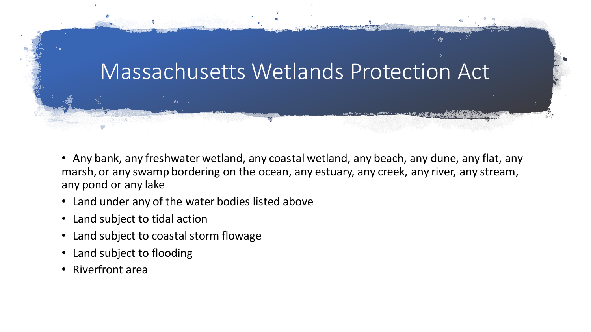

- Any bank, any freshwater wetland, any coastal wetland, any beach, any dune, any flat, any marsh, or any swamp bordering on the ocean, any estuary, any creek, any river, any stream, any pond or any lake
- Land under any of the water bodies listed above
- Land subject to tidal action
- Land subject to coastal storm flowage
- Land subject to flooding
- Riverfront area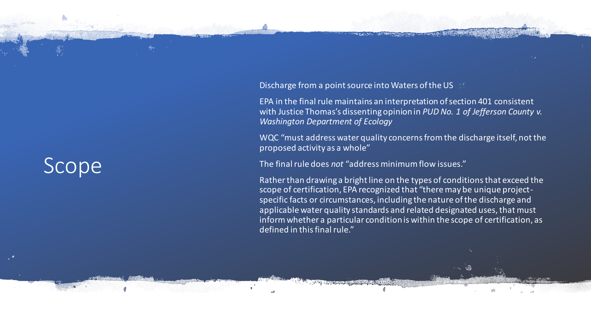## Scope

**Discharge from a point source into Waters of the US** 

EPA in the final rule maintains an interpretation of section 401 consistent with Justice Thomas's dissenting opinion in *PUD No. 1 of Jefferson County v. Washington Department of Ecology*

WQC "must address water quality concerns from the discharge itself, not the proposed activity as a whole"

The final rule does *not* "address minimum flow issues."

Rather than drawing a bright line on the types of conditions that exceed the scope of certification, EPA recognized that "there may be unique project specific facts or circumstances, including the nature of the discharge and  $\mid$ applicable water quality standards and related designated uses, that must  $\mid$ inform whether a particular condition is within the scope of certification, as defined in this final rule."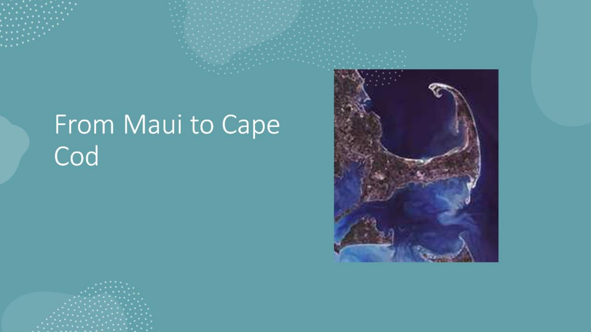## From Maui to Cape Cod